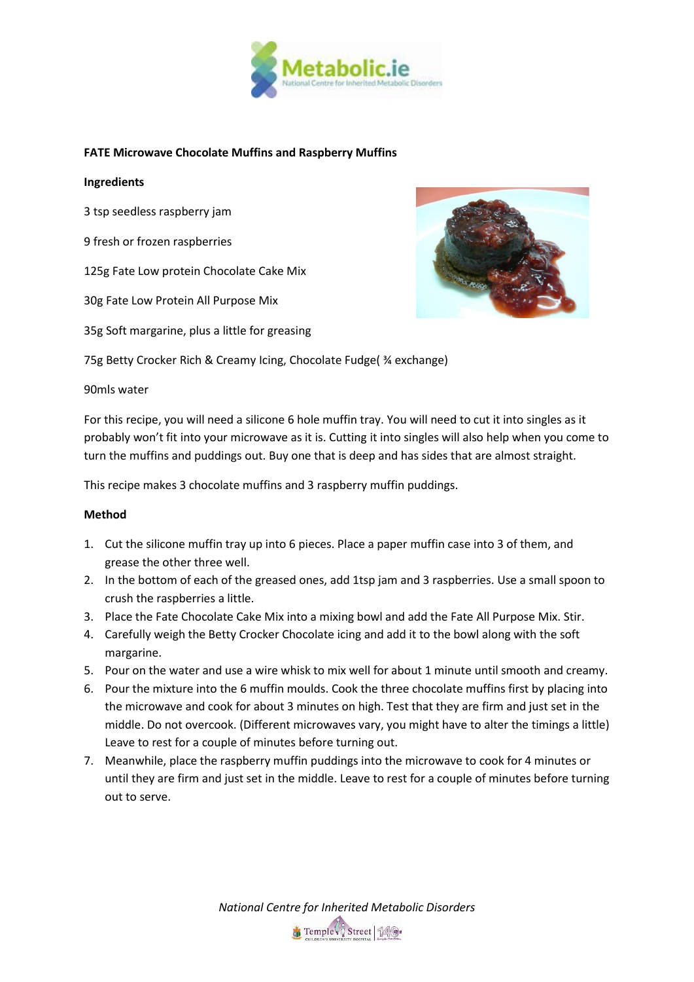

## **FATE Microwave Chocolate Muffins and Raspberry Muffins**

## **Ingredients**

3 tsp seedless raspberry jam

9 fresh or frozen raspberries

125g Fate Low protein Chocolate Cake Mix

30g Fate Low Protein All Purpose Mix

35g Soft margarine, plus a little for greasing



75g Betty Crocker Rich & Creamy Icing, Chocolate Fudge( ¾ exchange)

90mls water

For this recipe, you will need a silicone 6 hole muffin tray. You will need to cut it into singles as it probably won't fit into your microwave as it is. Cutting it into singles will also help when you come to turn the muffins and puddings out. Buy one that is deep and has sides that are almost straight.

This recipe makes 3 chocolate muffins and 3 raspberry muffin puddings.

## **Method**

- 1. Cut the silicone muffin tray up into 6 pieces. Place a paper muffin case into 3 of them, and grease the other three well.
- 2. In the bottom of each of the greased ones, add 1tsp jam and 3 raspberries. Use a small spoon to crush the raspberries a little.
- 3. Place the Fate Chocolate Cake Mix into a mixing bowl and add the Fate All Purpose Mix. Stir.
- 4. Carefully weigh the Betty Crocker Chocolate icing and add it to the bowl along with the soft margarine.
- 5. Pour on the water and use a wire whisk to mix well for about 1 minute until smooth and creamy.
- 6. Pour the mixture into the 6 muffin moulds. Cook the three chocolate muffins first by placing into the microwave and cook for about 3 minutes on high. Test that they are firm and just set in the middle. Do not overcook. (Different microwaves vary, you might have to alter the timings a little) Leave to rest for a couple of minutes before turning out.
- 7. Meanwhile, place the raspberry muffin puddings into the microwave to cook for 4 minutes or until they are firm and just set in the middle. Leave to rest for a couple of minutes before turning out to serve.